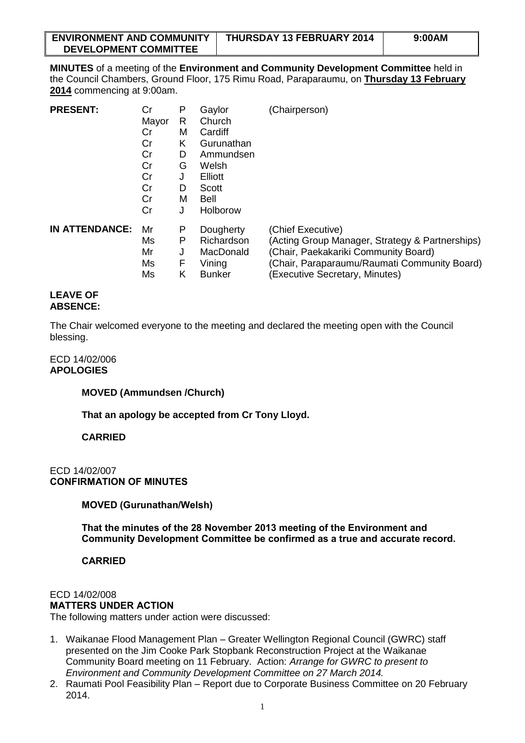| <b>ENVIRONMENT AND COMMUNITY</b> | THURSDAY 13 FEBRUARY 2014 | 9:00AM |
|----------------------------------|---------------------------|--------|
| <b>DEVELOPMENT COMMITTEE</b>     |                           |        |

**MINUTES** of a meeting of the **Environment and Community Development Committee** held in the Council Chambers, Ground Floor, 175 Rimu Road, Paraparaumu, on **Thursday 13 February 2014** commencing at 9:00am.

| <b>PRESENT:</b>       | Cr    | Ρ | Gaylor        | (Chairperson)                                   |
|-----------------------|-------|---|---------------|-------------------------------------------------|
|                       | Mayor | R | Church        |                                                 |
|                       | Cr    | м | Cardiff       |                                                 |
|                       | Cr    | K | Gurunathan    |                                                 |
|                       | Cr    | D | Ammundsen     |                                                 |
|                       | Cr    | G | Welsh         |                                                 |
|                       | Cr    | J | Elliott       |                                                 |
|                       | Cr    | D | Scott         |                                                 |
|                       | Cr    | м | Bell          |                                                 |
|                       | Cr    | J | Holborow      |                                                 |
| <b>IN ATTENDANCE:</b> | Mr    | Р | Dougherty     | (Chief Executive)                               |
|                       | Ms    | P | Richardson    | (Acting Group Manager, Strategy & Partnerships) |
|                       | Mr    | J | MacDonald     | (Chair, Paekakariki Community Board)            |
|                       | Ms    | F | Vining        | (Chair, Paraparaumu/Raumati Community Board)    |
|                       | Ms    | Κ | <b>Bunker</b> | (Executive Secretary, Minutes)                  |

#### **LEAVE OF ABSENCE:**

The Chair welcomed everyone to the meeting and declared the meeting open with the Council blessing.

# ECD 14/02/006 **APOLOGIES**

# **MOVED (Ammundsen /Church)**

**That an apology be accepted from Cr Tony Lloyd.**

# **CARRIED**

# ECD 14/02/007 **CONFIRMATION OF MINUTES**

# **MOVED (Gurunathan/Welsh)**

**That the minutes of the 28 November 2013 meeting of the Environment and Community Development Committee be confirmed as a true and accurate record.** 

# **CARRIED**

# ECD 14/02/008

#### **MATTERS UNDER ACTION**

The following matters under action were discussed:

- 1. Waikanae Flood Management Plan Greater Wellington Regional Council (GWRC) staff presented on the Jim Cooke Park Stopbank Reconstruction Project at the Waikanae Community Board meeting on 11 February. Action: *Arrange for GWRC to present to Environment and Community Development Committee on 27 March 2014.*
- 2. Raumati Pool Feasibility Plan Report due to Corporate Business Committee on 20 February 2014.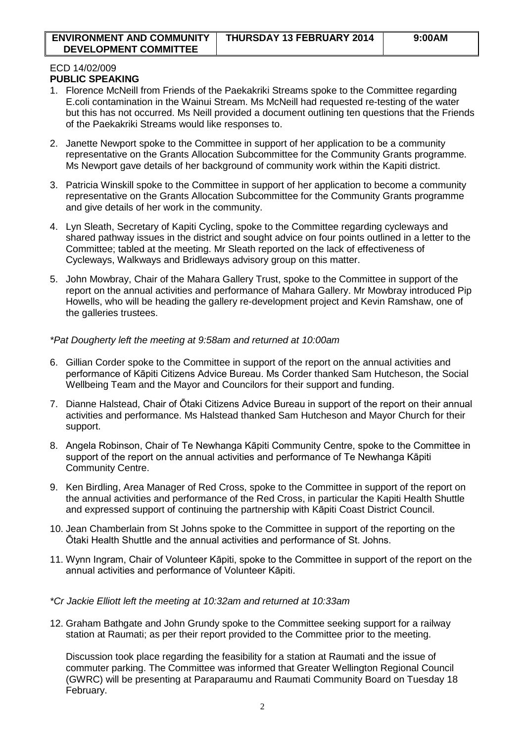#### ECD 14/02/009 **PUBLIC SPEAKING**

- 1. Florence McNeill from Friends of the Paekakriki Streams spoke to the Committee regarding E.coli contamination in the Wainui Stream. Ms McNeill had requested re-testing of the water but this has not occurred. Ms Neill provided a document outlining ten questions that the Friends of the Paekakriki Streams would like responses to.
- 2. Janette Newport spoke to the Committee in support of her application to be a community representative on the Grants Allocation Subcommittee for the Community Grants programme. Ms Newport gave details of her background of community work within the Kapiti district.
- 3. Patricia Winskill spoke to the Committee in support of her application to become a community representative on the Grants Allocation Subcommittee for the Community Grants programme and give details of her work in the community.
- 4. Lyn Sleath, Secretary of Kapiti Cycling, spoke to the Committee regarding cycleways and shared pathway issues in the district and sought advice on four points outlined in a letter to the Committee; tabled at the meeting. Mr Sleath reported on the lack of effectiveness of Cycleways, Walkways and Bridleways advisory group on this matter.
- 5. John Mowbray, Chair of the Mahara Gallery Trust, spoke to the Committee in support of the report on the annual activities and performance of Mahara Gallery. Mr Mowbray introduced Pip Howells, who will be heading the gallery re-development project and Kevin Ramshaw, one of the galleries trustees.

# *\*Pat Dougherty left the meeting at 9:58am and returned at 10:00am*

- 6. Gillian Corder spoke to the Committee in support of the report on the annual activities and performance of Kāpiti Citizens Advice Bureau. Ms Corder thanked Sam Hutcheson, the Social Wellbeing Team and the Mayor and Councilors for their support and funding.
- 7. Dianne Halstead, Chair of Ōtaki Citizens Advice Bureau in support of the report on their annual activities and performance. Ms Halstead thanked Sam Hutcheson and Mayor Church for their support.
- 8. Angela Robinson, Chair of Te Newhanga Kāpiti Community Centre, spoke to the Committee in support of the report on the annual activities and performance of Te Newhanga Kāpiti Community Centre.
- 9. Ken Birdling, Area Manager of Red Cross, spoke to the Committee in support of the report on the annual activities and performance of the Red Cross, in particular the Kapiti Health Shuttle and expressed support of continuing the partnership with Kāpiti Coast District Council.
- 10. Jean Chamberlain from St Johns spoke to the Committee in support of the reporting on the Ōtaki Health Shuttle and the annual activities and performance of St. Johns.
- 11. Wynn Ingram, Chair of Volunteer Kāpiti, spoke to the Committee in support of the report on the annual activities and performance of Volunteer Kāpiti.

# *\*Cr Jackie Elliott left the meeting at 10:32am and returned at 10:33am*

12. Graham Bathgate and John Grundy spoke to the Committee seeking support for a railway station at Raumati; as per their report provided to the Committee prior to the meeting.

Discussion took place regarding the feasibility for a station at Raumati and the issue of commuter parking. The Committee was informed that Greater Wellington Regional Council (GWRC) will be presenting at Paraparaumu and Raumati Community Board on Tuesday 18 February.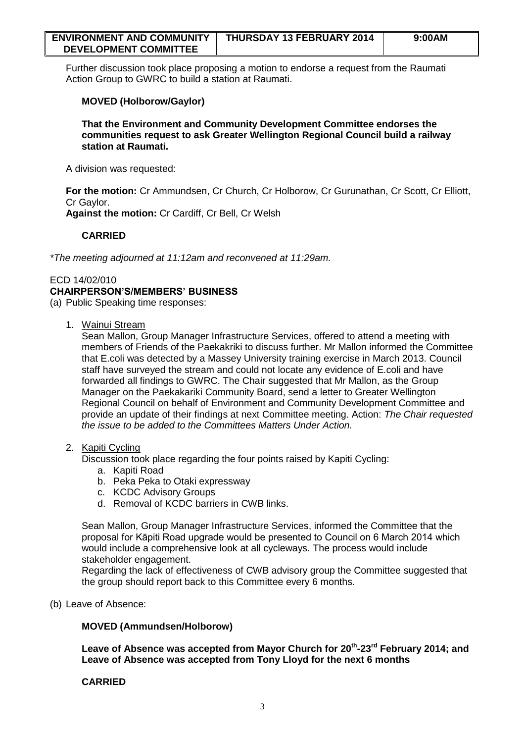| <b>ENVIRONMENT AND COMMUNITY</b> | THURSDAY 13 FEBRUARY 2014 | 9:00AM |
|----------------------------------|---------------------------|--------|
| <b>DEVELOPMENT COMMITTEE</b>     |                           |        |

Further discussion took place proposing a motion to endorse a request from the Raumati Action Group to GWRC to build a station at Raumati.

# **MOVED (Holborow/Gaylor)**

**That the Environment and Community Development Committee endorses the communities request to ask Greater Wellington Regional Council build a railway station at Raumati.**

A division was requested:

**For the motion:** Cr Ammundsen, Cr Church, Cr Holborow, Cr Gurunathan, Cr Scott, Cr Elliott, Cr Gaylor.

**Against the motion:** Cr Cardiff, Cr Bell, Cr Welsh

# **CARRIED**

*\*The meeting adjourned at 11:12am and reconvened at 11:29am.*

#### ECD 14/02/010

### **CHAIRPERSON'S/MEMBERS' BUSINESS**

(a) Public Speaking time responses:

### 1. Wainui Stream

Sean Mallon, Group Manager Infrastructure Services, offered to attend a meeting with members of Friends of the Paekakriki to discuss further. Mr Mallon informed the Committee that E.coli was detected by a Massey University training exercise in March 2013. Council staff have surveyed the stream and could not locate any evidence of E.coli and have forwarded all findings to GWRC. The Chair suggested that Mr Mallon, as the Group Manager on the Paekakariki Community Board, send a letter to Greater Wellington Regional Council on behalf of Environment and Community Development Committee and provide an update of their findings at next Committee meeting. Action: *The Chair requested the issue to be added to the Committees Matters Under Action.*

#### 2. Kapiti Cycling

Discussion took place regarding the four points raised by Kapiti Cycling:

- a. Kapiti Road
- b. Peka Peka to Otaki expressway
- c. KCDC Advisory Groups
- d. Removal of KCDC barriers in CWB links.

Sean Mallon, Group Manager Infrastructure Services, informed the Committee that the proposal for Kāpiti Road upgrade would be presented to Council on 6 March 2014 which would include a comprehensive look at all cycleways. The process would include stakeholder engagement.

Regarding the lack of effectiveness of CWB advisory group the Committee suggested that the group should report back to this Committee every 6 months.

(b) Leave of Absence:

# **MOVED (Ammundsen/Holborow)**

**Leave of Absence was accepted from Mayor Church for 20th -23rd February 2014; and Leave of Absence was accepted from Tony Lloyd for the next 6 months**

# **CARRIED**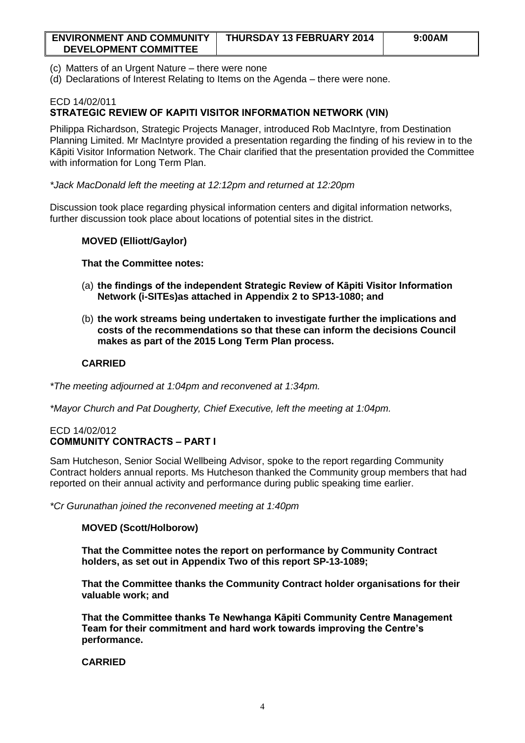| <b>ENVIRONMENT AND COMMUNITY</b> | THURSDAY 13 FEBRUARY 2014 | 9:00AM |
|----------------------------------|---------------------------|--------|
| <b>DEVELOPMENT COMMITTEE</b>     |                           |        |

- (c) Matters of an Urgent Nature there were none
- (d) Declarations of Interest Relating to Items on the Agenda there were none.

# ECD 14/02/011 **STRATEGIC REVIEW OF KAPITI VISITOR INFORMATION NETWORK (VIN)**

Philippa Richardson, Strategic Projects Manager, introduced Rob MacIntyre, from Destination Planning Limited. Mr MacIntyre provided a presentation regarding the finding of his review in to the Kāpiti Visitor Information Network. The Chair clarified that the presentation provided the Committee with information for Long Term Plan.

*\*Jack MacDonald left the meeting at 12:12pm and returned at 12:20pm*

Discussion took place regarding physical information centers and digital information networks, further discussion took place about locations of potential sites in the district.

### **MOVED (Elliott/Gaylor)**

#### **That the Committee notes:**

- (a) **the findings of the independent Strategic Review of Kāpiti Visitor Information Network (i-SITEs)as attached in Appendix 2 to SP13-1080; and**
- (b) **the work streams being undertaken to investigate further the implications and costs of the recommendations so that these can inform the decisions Council makes as part of the 2015 Long Term Plan process.**

# **CARRIED**

*\*The meeting adjourned at 1:04pm and reconvened at 1:34pm.*

*\*Mayor Church and Pat Dougherty, Chief Executive, left the meeting at 1:04pm.*

### ECD 14/02/012 **COMMUNITY CONTRACTS – PART I**

Sam Hutcheson, Senior Social Wellbeing Advisor, spoke to the report regarding Community Contract holders annual reports. Ms Hutcheson thanked the Community group members that had reported on their annual activity and performance during public speaking time earlier.

*\*Cr Gurunathan joined the reconvened meeting at 1:40pm*

#### **MOVED (Scott/Holborow)**

**That the Committee notes the report on performance by Community Contract holders, as set out in Appendix Two of this report SP-13-1089;**

**That the Committee thanks the Community Contract holder organisations for their valuable work; and**

**That the Committee thanks Te Newhanga Kāpiti Community Centre Management Team for their commitment and hard work towards improving the Centre's performance.**

### **CARRIED**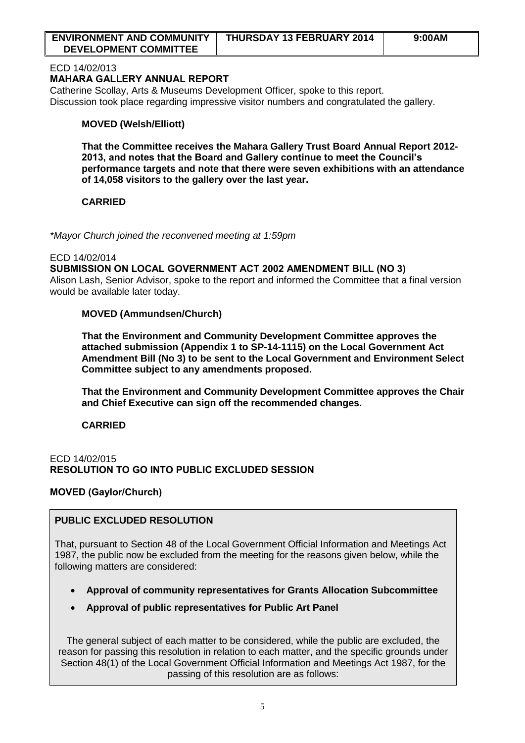| <b>ENVIRONMENT AND COMMUNITY</b> | THURSDAY 13 FEBRUARY 2014 | 9:00AM |
|----------------------------------|---------------------------|--------|
| <b>DEVELOPMENT COMMITTEE</b>     |                           |        |

### ECD 14/02/013

### **MAHARA GALLERY ANNUAL REPORT**

Catherine Scollay, Arts & Museums Development Officer, spoke to this report. Discussion took place regarding impressive visitor numbers and congratulated the gallery.

# **MOVED (Welsh/Elliott)**

**That the Committee receives the Mahara Gallery Trust Board Annual Report 2012- 2013, and notes that the Board and Gallery continue to meet the Council's performance targets and note that there were seven exhibitions with an attendance of 14,058 visitors to the gallery over the last year.**

# **CARRIED**

*\*Mayor Church joined the reconvened meeting at 1:59pm*

#### ECD 14/02/014

**SUBMISSION ON LOCAL GOVERNMENT ACT 2002 AMENDMENT BILL (NO 3)**  Alison Lash, Senior Advisor, spoke to the report and informed the Committee that a final version would be available later today.

# **MOVED (Ammundsen/Church)**

**That the Environment and Community Development Committee approves the attached submission (Appendix 1 to SP-14-1115) on the Local Government Act Amendment Bill (No 3) to be sent to the Local Government and Environment Select Committee subject to any amendments proposed.**

**That the Environment and Community Development Committee approves the Chair and Chief Executive can sign off the recommended changes.**

# **CARRIED**

# ECD 14/02/015 **RESOLUTION TO GO INTO PUBLIC EXCLUDED SESSION**

# **MOVED (Gaylor/Church)**

# **PUBLIC EXCLUDED RESOLUTION**

That, pursuant to Section 48 of the Local Government Official Information and Meetings Act 1987, the public now be excluded from the meeting for the reasons given below, while the following matters are considered:

- **Approval of community representatives for Grants Allocation Subcommittee**
- **Approval of public representatives for Public Art Panel**

The general subject of each matter to be considered, while the public are excluded, the reason for passing this resolution in relation to each matter, and the specific grounds under Section 48(1) of the Local Government Official Information and Meetings Act 1987, for the passing of this resolution are as follows: